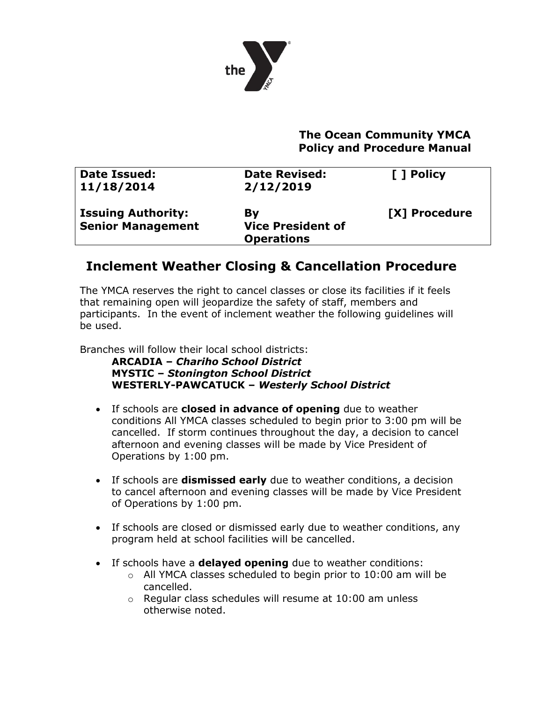

## **The Ocean Community YMCA Policy and Procedure Manual**

| <b>Date Issued:</b><br>11/18/2014                     | <b>Date Revised:</b><br>2/12/2019                   | [ ] Policy    |
|-------------------------------------------------------|-----------------------------------------------------|---------------|
| <b>Issuing Authority:</b><br><b>Senior Management</b> | By<br><b>Vice President of</b><br><b>Operations</b> | [X] Procedure |

## **Inclement Weather Closing & Cancellation Procedure**

The YMCA reserves the right to cancel classes or close its facilities if it feels that remaining open will jeopardize the safety of staff, members and participants. In the event of inclement weather the following guidelines will be used.

Branches will follow their local school districts:

**ARCADIA –** *Chariho School District* **MYSTIC –** *Stonington School District* **WESTERLY-PAWCATUCK –** *Westerly School District*

- If schools are **closed in advance of opening** due to weather conditions All YMCA classes scheduled to begin prior to 3:00 pm will be cancelled. If storm continues throughout the day, a decision to cancel afternoon and evening classes will be made by Vice President of Operations by 1:00 pm.
- If schools are **dismissed early** due to weather conditions, a decision to cancel afternoon and evening classes will be made by Vice President of Operations by 1:00 pm.
- If schools are closed or dismissed early due to weather conditions, any program held at school facilities will be cancelled.
- If schools have a **delayed opening** due to weather conditions:
	- o All YMCA classes scheduled to begin prior to 10:00 am will be cancelled.
	- o Regular class schedules will resume at 10:00 am unless otherwise noted.